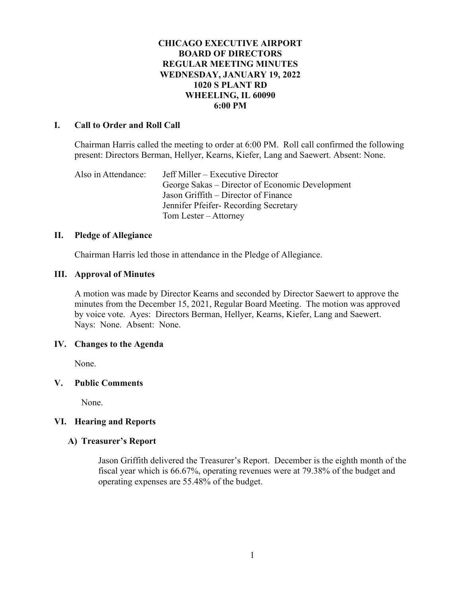## **CHICAGO EXECUTIVE AIRPORT BOARD OF DIRECTORS REGULAR MEETING MINUTES WEDNESDAY, JANUARY 19, 2022 1020 S PLANT RD WHEELING, IL 60090 6:00 PM**

## **I. Call to Order and Roll Call**

Chairman Harris called the meeting to order at 6:00 PM. Roll call confirmed the following present: Directors Berman, Hellyer, Kearns, Kiefer, Lang and Saewert. Absent: None.

Also in Attendance: Jeff Miller – Executive Director George Sakas – Director of Economic Development Jason Griffith – Director of Finance Jennifer Pfeifer- Recording Secretary Tom Lester – Attorney

#### **II. Pledge of Allegiance**

Chairman Harris led those in attendance in the Pledge of Allegiance.

#### **III. Approval of Minutes**

A motion was made by Director Kearns and seconded by Director Saewert to approve the minutes from the December 15, 2021, Regular Board Meeting. The motion was approved by voice vote. Ayes: Directors Berman, Hellyer, Kearns, Kiefer, Lang and Saewert. Nays: None. Absent: None.

## **IV. Changes to the Agenda**

None.

## **V. Public Comments**

None.

## **VI. Hearing and Reports**

## **A) Treasurer's Report**

Jason Griffith delivered the Treasurer's Report. December is the eighth month of the fiscal year which is 66.67%, operating revenues were at 79.38% of the budget and operating expenses are 55.48% of the budget.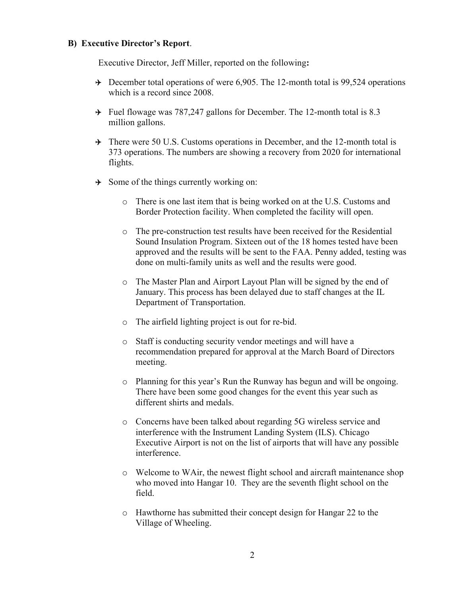#### **B) Executive Director's Report**.

Executive Director, Jeff Miller, reported on the following**:**

- $\rightarrow$  December total operations of were 6,905. The 12-month total is 99,524 operations which is a record since 2008.
- Fuel flowage was 787,247 gallons for December. The 12-month total is 8.3 million gallons.
- $\rightarrow$  There were 50 U.S. Customs operations in December, and the 12-month total is 373 operations. The numbers are showing a recovery from 2020 for international flights.
- $\rightarrow$  Some of the things currently working on:
	- o There is one last item that is being worked on at the U.S. Customs and Border Protection facility. When completed the facility will open.
	- o The pre-construction test results have been received for the Residential Sound Insulation Program. Sixteen out of the 18 homes tested have been approved and the results will be sent to the FAA. Penny added, testing was done on multi-family units as well and the results were good.
	- o The Master Plan and Airport Layout Plan will be signed by the end of January. This process has been delayed due to staff changes at the IL Department of Transportation.
	- o The airfield lighting project is out for re-bid.
	- o Staff is conducting security vendor meetings and will have a recommendation prepared for approval at the March Board of Directors meeting.
	- o Planning for this year's Run the Runway has begun and will be ongoing. There have been some good changes for the event this year such as different shirts and medals.
	- o Concerns have been talked about regarding 5G wireless service and interference with the Instrument Landing System (ILS). Chicago Executive Airport is not on the list of airports that will have any possible interference.
	- o Welcome to WAir, the newest flight school and aircraft maintenance shop who moved into Hangar 10. They are the seventh flight school on the field.
	- o Hawthorne has submitted their concept design for Hangar 22 to the Village of Wheeling.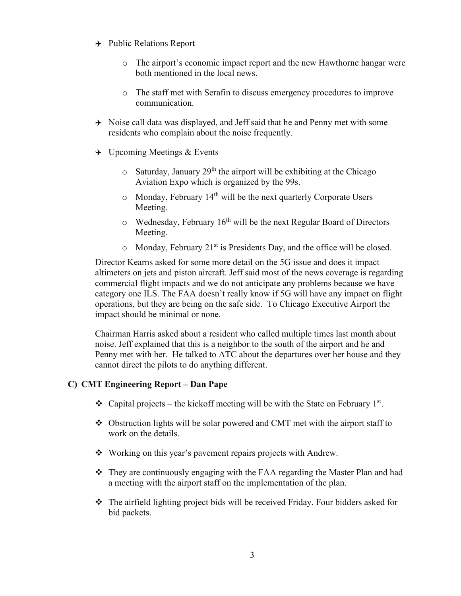- $\rightarrow$  Public Relations Report
	- o The airport's economic impact report and the new Hawthorne hangar were both mentioned in the local news.
	- o The staff met with Serafin to discuss emergency procedures to improve communication.
- $\rightarrow$  Noise call data was displayed, and Jeff said that he and Penny met with some residents who complain about the noise frequently.
- $\rightarrow$  Upcoming Meetings & Events
	- $\circ$  Saturday, January 29<sup>th</sup> the airport will be exhibiting at the Chicago Aviation Expo which is organized by the 99s.
	- $\circ$  Monday, February 14<sup>th</sup> will be the next quarterly Corporate Users Meeting.
	- $\circ$  Wednesday, February 16<sup>th</sup> will be the next Regular Board of Directors Meeting.
	- $\circ$  Monday, February 21<sup>st</sup> is Presidents Day, and the office will be closed.

Director Kearns asked for some more detail on the 5G issue and does it impact altimeters on jets and piston aircraft. Jeff said most of the news coverage is regarding commercial flight impacts and we do not anticipate any problems because we have category one ILS. The FAA doesn't really know if 5G will have any impact on flight operations, but they are being on the safe side. To Chicago Executive Airport the impact should be minimal or none.

Chairman Harris asked about a resident who called multiple times last month about noise. Jeff explained that this is a neighbor to the south of the airport and he and Penny met with her. He talked to ATC about the departures over her house and they cannot direct the pilots to do anything different.

# **C) CMT Engineering Report – Dan Pape**

- ◆ Capital projects the kickoff meeting will be with the State on February  $1^{st}$ .
- ❖ Obstruction lights will be solar powered and CMT met with the airport staff to work on the details.
- ❖ Working on this year's pavement repairs projects with Andrew.
- ❖ They are continuously engaging with the FAA regarding the Master Plan and had a meeting with the airport staff on the implementation of the plan.
- ❖ The airfield lighting project bids will be received Friday. Four bidders asked for bid packets.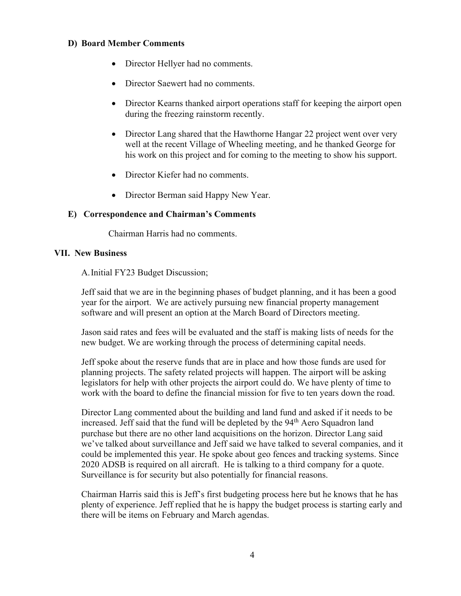## **D) Board Member Comments**

- Director Hellyer had no comments.
- Director Saewert had no comments.
- Director Kearns thanked airport operations staff for keeping the airport open during the freezing rainstorm recently.
- Director Lang shared that the Hawthorne Hangar 22 project went over very well at the recent Village of Wheeling meeting, and he thanked George for his work on this project and for coming to the meeting to show his support.
- Director Kiefer had no comments.
- Director Berman said Happy New Year.

#### **E) Correspondence and Chairman's Comments**

Chairman Harris had no comments.

#### **VII. New Business**

A.Initial FY23 Budget Discussion;

Jeff said that we are in the beginning phases of budget planning, and it has been a good year for the airport. We are actively pursuing new financial property management software and will present an option at the March Board of Directors meeting.

Jason said rates and fees will be evaluated and the staff is making lists of needs for the new budget. We are working through the process of determining capital needs.

Jeff spoke about the reserve funds that are in place and how those funds are used for planning projects. The safety related projects will happen. The airport will be asking legislators for help with other projects the airport could do. We have plenty of time to work with the board to define the financial mission for five to ten years down the road.

Director Lang commented about the building and land fund and asked if it needs to be increased. Jeff said that the fund will be depleted by the 94<sup>th</sup> Aero Squadron land purchase but there are no other land acquisitions on the horizon. Director Lang said we've talked about surveillance and Jeff said we have talked to several companies, and it could be implemented this year. He spoke about geo fences and tracking systems. Since 2020 ADSB is required on all aircraft. He is talking to a third company for a quote. Surveillance is for security but also potentially for financial reasons.

Chairman Harris said this is Jeff's first budgeting process here but he knows that he has plenty of experience. Jeff replied that he is happy the budget process is starting early and there will be items on February and March agendas.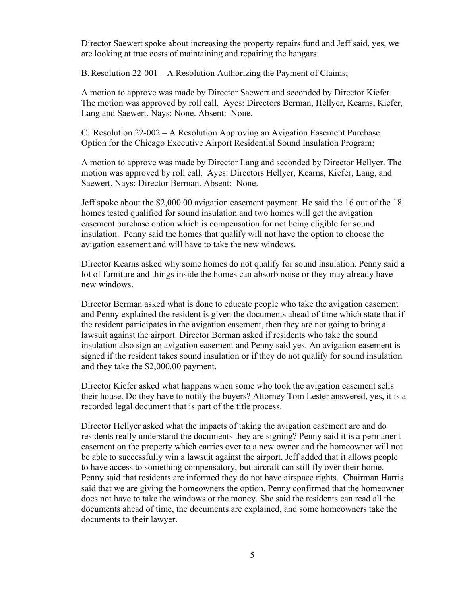Director Saewert spoke about increasing the property repairs fund and Jeff said, yes, we are looking at true costs of maintaining and repairing the hangars.

B.Resolution 22-001 – A Resolution Authorizing the Payment of Claims;

A motion to approve was made by Director Saewert and seconded by Director Kiefer. The motion was approved by roll call. Ayes: Directors Berman, Hellyer, Kearns, Kiefer, Lang and Saewert. Nays: None. Absent: None.

C. Resolution 22-002 – A Resolution Approving an Avigation Easement Purchase Option for the Chicago Executive Airport Residential Sound Insulation Program;

A motion to approve was made by Director Lang and seconded by Director Hellyer. The motion was approved by roll call. Ayes: Directors Hellyer, Kearns, Kiefer, Lang, and Saewert. Nays: Director Berman. Absent: None.

Jeff spoke about the \$2,000.00 avigation easement payment. He said the 16 out of the 18 homes tested qualified for sound insulation and two homes will get the avigation easement purchase option which is compensation for not being eligible for sound insulation. Penny said the homes that qualify will not have the option to choose the avigation easement and will have to take the new windows.

Director Kearns asked why some homes do not qualify for sound insulation. Penny said a lot of furniture and things inside the homes can absorb noise or they may already have new windows.

Director Berman asked what is done to educate people who take the avigation easement and Penny explained the resident is given the documents ahead of time which state that if the resident participates in the avigation easement, then they are not going to bring a lawsuit against the airport. Director Berman asked if residents who take the sound insulation also sign an avigation easement and Penny said yes. An avigation easement is signed if the resident takes sound insulation or if they do not qualify for sound insulation and they take the \$2,000.00 payment.

Director Kiefer asked what happens when some who took the avigation easement sells their house. Do they have to notify the buyers? Attorney Tom Lester answered, yes, it is a recorded legal document that is part of the title process.

Director Hellyer asked what the impacts of taking the avigation easement are and do residents really understand the documents they are signing? Penny said it is a permanent easement on the property which carries over to a new owner and the homeowner will not be able to successfully win a lawsuit against the airport. Jeff added that it allows people to have access to something compensatory, but aircraft can still fly over their home. Penny said that residents are informed they do not have airspace rights. Chairman Harris said that we are giving the homeowners the option. Penny confirmed that the homeowner does not have to take the windows or the money. She said the residents can read all the documents ahead of time, the documents are explained, and some homeowners take the documents to their lawyer.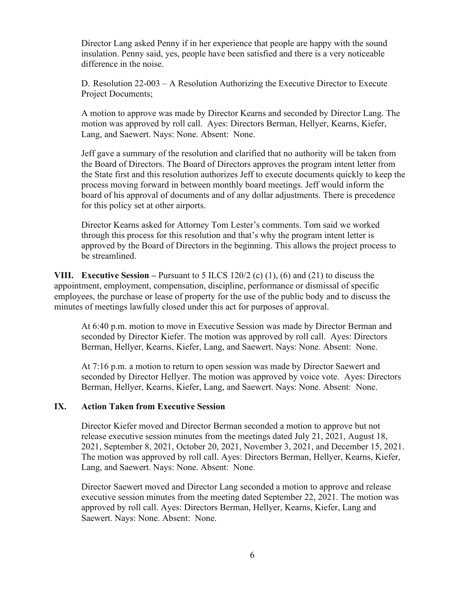Director Lang asked Penny if in her experience that people are happy with the sound insulation. Penny said, yes, people have been satisfied and there is a very noticeable difference in the noise.

D. Resolution 22-003 – A Resolution Authorizing the Executive Director to Execute Project Documents;

A motion to approve was made by Director Kearns and seconded by Director Lang. The motion was approved by roll call. Ayes: Directors Berman, Hellyer, Kearns, Kiefer, Lang, and Saewert. Nays: None. Absent: None.

Jeff gave a summary of the resolution and clarified that no authority will be taken from the Board of Directors. The Board of Directors approves the program intent letter from the State first and this resolution authorizes Jeff to execute documents quickly to keep the process moving forward in between monthly board meetings. Jeff would inform the board of his approval of documents and of any dollar adjustments. There is precedence for this policy set at other airports.

Director Kearns asked for Attorney Tom Lester's comments. Tom said we worked through this process for this resolution and that's why the program intent letter is approved by the Board of Directors in the beginning. This allows the project process to be streamlined.

**VIII. Executive Session –** Pursuant to 5 ILCS 120/2 (c) (1), (6) and (21) to discuss the appointment, employment, compensation, discipline, performance or dismissal of specific employees, the purchase or lease of property for the use of the public body and to discuss the minutes of meetings lawfully closed under this act for purposes of approval.

At 6:40 p.m. motion to move in Executive Session was made by Director Berman and seconded by Director Kiefer. The motion was approved by roll call. Ayes: Directors Berman, Hellyer, Kearns, Kiefer, Lang, and Saewert. Nays: None. Absent: None.

At 7:16 p.m. a motion to return to open session was made by Director Saewert and seconded by Director Hellyer. The motion was approved by voice vote. Ayes: Directors Berman, Hellyer, Kearns, Kiefer, Lang, and Saewert. Nays: None. Absent: None.

## **IX. Action Taken from Executive Session**

Director Kiefer moved and Director Berman seconded a motion to approve but not release executive session minutes from the meetings dated July 21, 2021, August 18, 2021, September 8, 2021, October 20, 2021, November 3, 2021, and December 15, 2021. The motion was approved by roll call. Ayes: Directors Berman, Hellyer, Kearns, Kiefer, Lang, and Saewert. Nays: None. Absent: None.

Director Saewert moved and Director Lang seconded a motion to approve and release executive session minutes from the meeting dated September 22, 2021. The motion was approved by roll call. Ayes: Directors Berman, Hellyer, Kearns, Kiefer, Lang and Saewert. Nays: None. Absent: None.